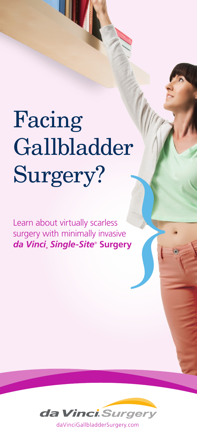## Facing Gallbladder Surgery?

Learn about virtually scarless surgery with minimally invasive *da Vinci***®** *Single-Site*® **Examples**<br> **Surgery**<br> **Surgery** 

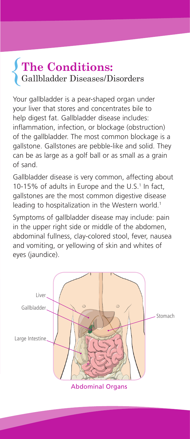### **The Conditions:** Gallbladder Diseases/Disorders {

Your gallbladder is a pear-shaped organ under your liver that stores and concentrates bile to help digest fat. Gallbladder disease includes: inflammation, infection, or blockage (obstruction) of the gallbladder. The most common blockage is a gallstone. Gallstones are pebble-like and solid. They can be as large as a golf ball or as small as a grain of sand.

Gallbladder disease is very common, affecting about 10-15% of adults in Europe and the U.S.<sup>1</sup> In fact, gallstones are the most common digestive disease leading to hospitalization in the Western world.<sup>1</sup>

Symptoms of gallbladder disease may include: pain in the upper right side or middle of the abdomen, abdominal fullness, clay-colored stool, fever, nausea and vomiting, or yellowing of skin and whites of eyes (jaundice).

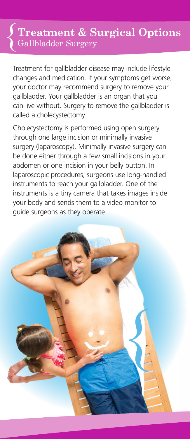## **Treatment & Surgical Options**<br>Gallbladder Surgery

Treatment for gallbladder disease may include lifestyle changes and medication. If your symptoms get worse, your doctor may recommend surgery to remove your gallbladder. Your gallbladder is an organ that you can live without. Surgery to remove the gallbladder is called a cholecystectomy.

Cholecystectomy is performed using open surgery through one large incision or minimally invasive surgery (laparoscopy). Minimally invasive surgery can be done either through a few small incisions in your abdomen or one incision in your belly button. In laparoscopic procedures, surgeons use long-handled instruments to reach your gallbladder. One of the instruments is a tiny camera that takes images inside your body and sends them to a video monitor to guide surgeons as they operate.

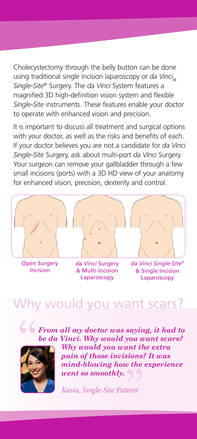Cholecystectomy through the belly button can be done using traditional single incision laparoscopy or *da Vinci Single-Site*® Surgery. The *da Vinci* System features a magnified 3D high-definition vision system and flexible *Single-Site* instruments. These features enable your doctor to operate with enhanced vision and precision.

It is important to discuss all treatment and surgical options with your doctor, as well as the risks and benefits of each. If your doctor believes you are not a candidate for *da Vinci Single-Site* Surgery, ask about multi-port *da Vinci* Surgery. Your surgeon can remove your gallbladder through a few small incisions (ports) with a 3D HD view of your anatomy for enhanced vision, precision, dexterity and control.



Open Surgery Incision

*da Vinci* Surgery & Multi-incision Laparoscopy

*da Vinci Single-Site*® & Single Incision Laparoscopy

### would you want scars?

*From all my doctor was saying, it had to be da Vinci. Why would you want scars?*  66<br>"



*Why would you want the extra pain of those incisions? It was mind-blowing how the experience went so smoothly.*  $\begin{array}{c}\text{\it inc} \text{\it c} \text{\it i} \text{\it o} \text{\it ns} \text{\it i} \text{\it o} \text{\it n} \text{\it s} \text{\it i} \text{\it o} \text{\it n} \text{\it s} \text{\it i} \text{\it h} \text{\it e} \text{\it o} \text{\it f} \text{\it h} \text{\it e} \text{\it o} \text{\it f} \text{\it o} \text{\it o} \text{\it f} \text{\it o} \text{\it o} \text{\it i} \text{\it o} \text{\it i} \text{\it o} \text{\it i} \text{\it o} \text{\it i} \text{\it i} \text{\it$ 

*Kasia, Single-Site Patient*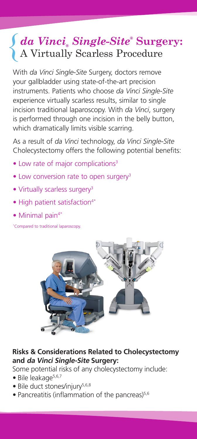# *da Vinci***®** *Single-Site***® Surgery:** { A Virtually Scarless Procedure

With *da Vinci Single-Site* Surgery, doctors remove your gallbladder using state-of-the-art precision instruments. Patients who choose *da Vinci Single-Site* experience virtually scarless results, similar to single incision traditional laparoscopy. With *da Vinci*, surgery is performed through one incision in the belly button, which dramatically limits visible scarring.

As a result of *da Vinci* technology, *da Vinci Single-Site*  Cholecystectomy offers the following potential benefits:

- Low rate of major complications<sup>3</sup>
- Low conversion rate to open surgery<sup>3</sup>
- Virtually scarless surgery<sup>3</sup>
- High patient satisfaction<sup>4\*</sup>
- Minimal pain<sup>4\*</sup>

\* Compared to traditional laparoscopy.



### **Risks & Considerations Related to Cholecystectomy and da Vinci Single-Site Surgery:**

Some potential risks of any cholecystectomy include:

- Bile leakage<sup>5,6,7</sup>
- Bile duct stones/injury<sup>5,6,8</sup>
- Pancreatitis (inflammation of the pancreas)<sup>5,6</sup>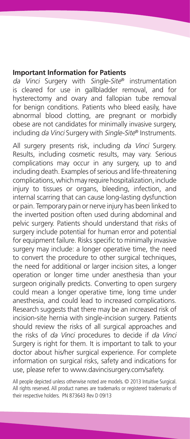#### **Important Information for Patients**

da Vinci Surgery with Single-Site® instrumentation is cleared for use in gallbladder removal, and for hysterectomy and ovary and fallopian tube removal for benign conditions. Patients who bleed easily, have abnormal blood clotting, are pregnant or morbidly obese are not candidates for minimally invasive surgery, including da Vinci Surgery with Single-Site® Instruments.

All surgery presents risk, including *da Vinci* Surgery. Results, including cosmetic results, may vary. Serious complications may occur in any surgery, up to and including death. Examples of serious and life-threatening complications, which may require hospitalization, include injury to tissues or organs, bleeding, infection, and internal scarring that can cause long-lasting dysfunction or pain. Temporary pain or nerve injury has been linked to the inverted position often used during abdominal and pelvic surgery. Patients should understand that risks of surgery include potential for human error and potential for equipment failure. Risks specific to minimally invasive surgery may include: a longer operative time, the need to convert the procedure to other surgical techniques, the need for additional or larger incision sites, a longer operation or longer time under anesthesia than your surgeon originally predicts. Converting to open surgery could mean a longer operative time, long time under anesthesia, and could lead to increased complications. Research suggests that there may be an increased risk of incision-site hernia with single-incision surgery. Patients should review the risks of all surgical approaches and the risks of *da Vinci* procedures to decide if *da Vinci*  Surgery is right for them. It is important to talk to your doctor about his/her surgical experience. For complete information on surgical risks, safety and indications for use, please refer to www.davincisurgery.com/safety.

All people depicted unless otherwise noted are models. © 2013 Intuitive Surgical. All rights reserved. All product names are trademarks or registered trademarks of their respective holders. PN 873643 Rev D 09/13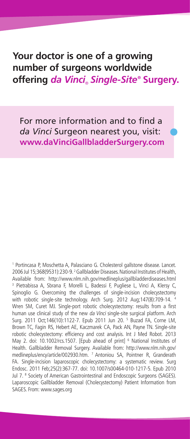### **Your doctor is one of a growing number of surgeons worldwide offering** *da Vinci*® *Single-Site***® Surgery.**

For more information and to find a *da Vinci* Surgeon nearest you, visit: **www.daVinciGallbladderSurgery.com**

1 Portincasa P, Moschetta A, Palasciano G. Cholesterol gallstone disease. Lancet. 2006 Jul 15;368(9531):230-9. 2 Gallbladder Diseases. National Institutes of Health, Available from: http://www.nlm.nih.gov/medlineplus/gallbladderdiseases.html 3 Pietrabissa A, Sbrana F, Morelli L, Badessi F, Pugliese L, Vinci A, Klersy C, Spinoglio G. Overcoming the challenges of single-incision cholecystectomy with robotic single-site technology. Arch Surg. 2012 Aug;147(8):709-14. Wren SM, Curet MJ. Single-port robotic cholecystectomy: results from a first human use clinical study of the new da Vinci single-site surgical platform. Arch Surg. 2011 Oct;146(10):1122-7. Epub 2011 Jun 20. 5 Buzad FA, Corne LM, Brown TC, Fagin RS, Hebert AE, Kaczmarek CA, Pack AN, Payne TN. Single-site robotic cholecystectomy: efficiency and cost analysis. Int J Med Robot. 2013 May 2. doi: 10.1002/rcs.1507. [Epub ahead of print] <sup>6</sup> National Institutes of Health. Gallbladder Removal Surgery. Available from: http://www.nlm.nih.gov/ medlineplus/ency/article/002930.htm.<sup>7</sup> Antoniou SA, Pointner R, Granderath FA. Single-incision laparoscopic cholecystectomy: a systematic review. Surg Endosc. 2011 Feb;25(2):367-77. doi: 10.1007/s00464-010-1217-5. Epub 2010 Jul 7. 8 Society of American Gastrointestinal and Endoscopic Surgeons (SAGES). Laparoscopic Gallbladder Removal (Cholecystectomy) Patient Information from SAGES. From: www.sages.org